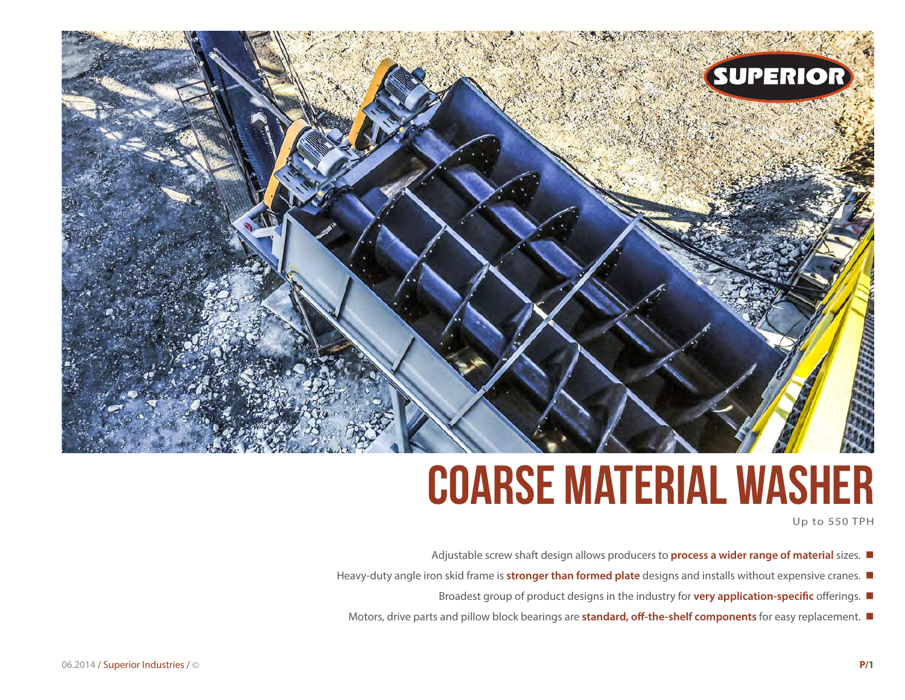

# **Coarse Material Washer**

Up to 550 TPH

- Adjustable screw shaft design allows producers to **process a wider range of material** sizes.
- Heavy-duty angle iron skid frame is **stronger than formed plate** designs and installs without expensive cranes.
	- Broadest group of product designs in the industry for **very application-specific** offerings.  $\blacksquare$
	- Motors, drive parts and pillow block bearings are **standard, off-the-shelf components** for easy replacement.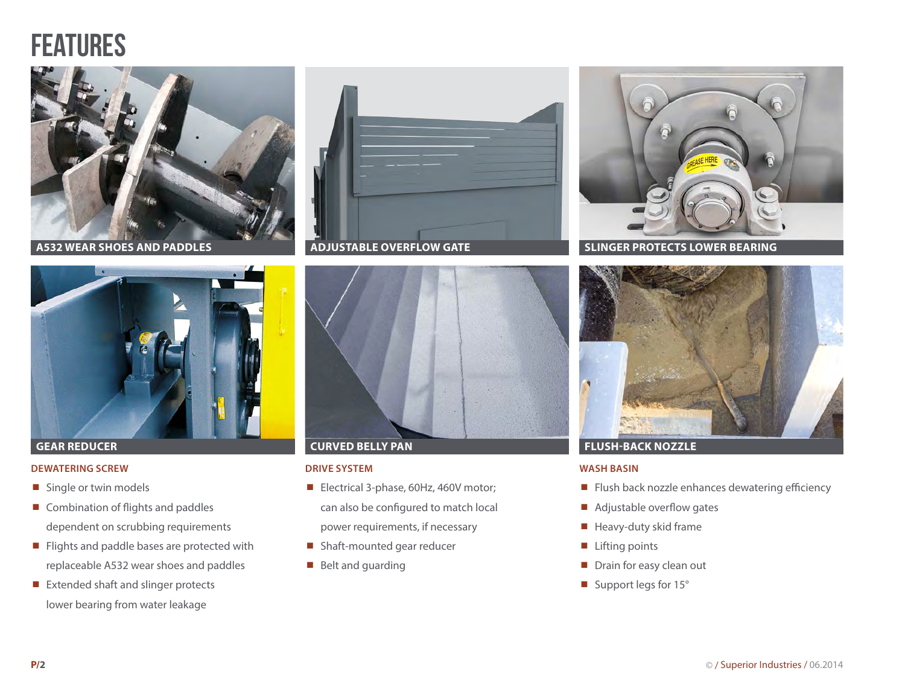## **FEATURES**



**A532 WEAR SHOES AND PADDLES**



#### **GEAR REDUCER**

#### **DEWATERING SCREW**

- Single or twin models
- Combination of flights and paddles dependent on scrubbing requirements
- Flights and paddle bases are protected with replaceable A532 wear shoes and paddles
- Extended shaft and slinger protects lower bearing from water leakage





### **CURVED BELLY PAN**

#### **DRIVE SYSTEM**

- Electrical 3-phase, 60Hz, 460V motor; can also be configured to match local power requirements, if necessary
- Shaft-mounted gear reducer
- Belt and guarding



**SLINGER PROTECTS LOWER BEARING**



### **FLUSH-BACK NOZZLE**

#### **WASH BASIN**

- Flush back nozzle enhances dewatering efficiency
- Adjustable overflow gates
- $\blacksquare$  Heavy-duty skid frame
- $\blacksquare$  Lifting points
- $\blacksquare$  Drain for easy clean out
- Support legs for 15°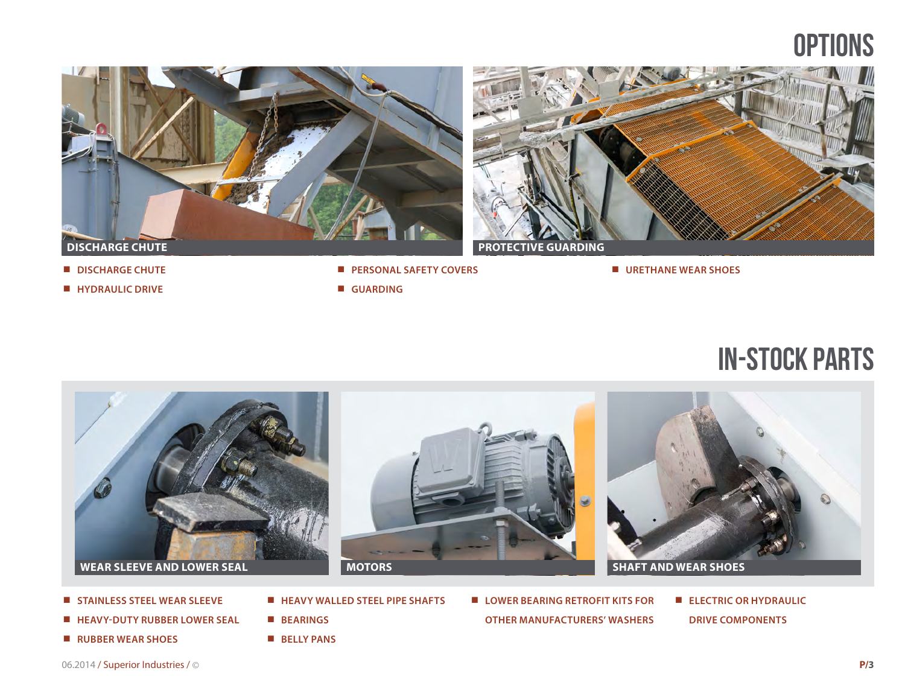## **OPTIONS**





¾ **URETHANE WEAR SHOES**

- ¾ **DISCHARGE CHUTE**
- 
- ¾ **HYDRAULIC DRIVE**
- ¾ **PERSONAL SAFETY COVERS**
- ¾ **GUARDING**

in-stock parts



- ¾ **STAINLESS STEEL WEAR SLEEVE**
- ¾ **HEAVY-DUTY RUBBER LOWER SEAL**
- ¾ **RUBBER WEAR SHOES**
- ¾ **BEARINGS**
- ¾ **BELLY PANS**

¾ **HEAVY WALLED STEEL PIPE SHAFTS**

- LOWER BEARING RETROFIT KITS FOR **OTHER MANUFACTURERS' WASHERS**
- ¾ **ELECTRIC OR HYDRAULIC DRIVE COMPONENTS**